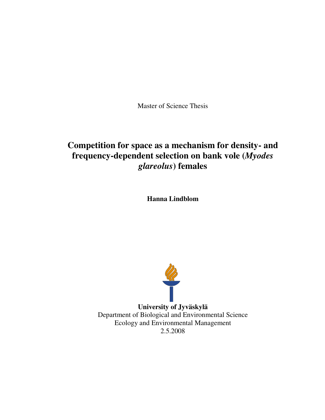Master of Science Thesis

# **Competition for space as a mechanism for density- and frequency-dependent selection on bank vole (***Myodes glareolus***) females**

**Hanna Lindblom**



**University of Jyväskylä** Department of Biological and Environmental Science Ecology and Environmental Management 2.5.2008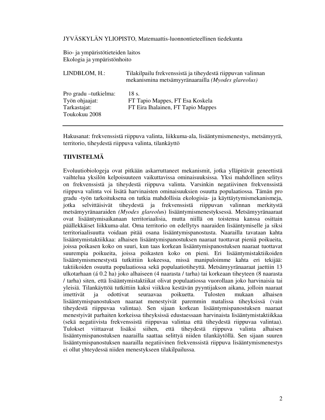JYVÄSKYLÄN YLIOPISTO, Matemaattis-luonnontieteellinen tiedekunta

Bio- ja ympäristötieteiden laitos Ekologia ja ympäristönhoito

| LINDBLOM, H.:                                                             | Tilakilpailu frekvenssistä ja tiheydestä riippuvan valinnan<br>mekanismina metsämyyränaarailla (Myodes glareolus) |
|---------------------------------------------------------------------------|-------------------------------------------------------------------------------------------------------------------|
| Pro gradu – tutkielma:<br>Työn ohjaajat:<br>Tarkastajat:<br>Toukokuu 2008 | 18 s.<br>FT Tapio Mappes, FT Esa Koskela<br>FT Eira Ihalainen, FT Tapio Mappes                                    |

Hakusanat: frekvenssistä riippuva valinta, liikkuma-ala, lisääntymismenestys, metsämyyrä, territorio, tiheydestä riippuva valinta, tilankäyttö

# **TIIVISTELMÄ**

Evoluutiobiologeja ovat pitkään askarruttaneet mekanismit, jotka ylläpitävät geneettistä vaihtelua yksilön kelpoisuuteen vaikuttavissa ominaisuuksissa. Yksi mahdollinen selitys on frekvenssistä ja tiheydestä riippuva valinta. Varsinkin negatiivinen frekvenssistä riippuva valinta voi lisätä harvinaisten ominaisuuksien osuutta populaatiossa. Tämän pro gradu -työn tarkoituksena on tutkia mahdollisia ekologisia- ja käyttäytymismekanismeja, jotka selvittäisivät tiheydestä ja frekvenssistä riippuvan valinnan merkitystä metsämyyränaaraiden *(Myodes glareolu*s) lisääntymismenestyksessä. Metsämyyränaaraat ovat lisääntymisaikanaan territoriaalisia, mutta niillä on toistensa kanssa osittain päällekkäiset liikkuma-alat. Oma territorio on edellytys naaraiden lisääntymiselle ja siksi territoriaalisuutta voidaan pitää osana lisääntymispanostusta. Naarailla tavataan kahta lisääntymistaktiikkaa: alhaisen lisääntymispanostuksen naaraat tuottavat pieniä poikueita, joissa poikasen koko on suuri, kun taas korkean lisääntymispanostuksen naaraat tuottavat suurempia poikueita, joissa poikasten koko on pieni. Eri lisääntymistaktiikoiden lisääntymismenestystä tutkittiin kokeessa, missä manipuloimme kahta eri tekijää: taktiikoiden osuutta populaatiossa sekä populaatiotiheyttä. Metsämyyränaaraat jaettiin 13 ulkotarhaan (á 0.2 ha) joko alhaiseen (4 naarasta / tarha) tai korkeaan tiheyteen (8 naarasta / tarha) siten, että lisääntymistaktiikat olivat populaatiossa vuorollaan joko harvinaisia tai yleisiä. Tilankäyttöä tutkittiin kaksi viikkoa kestävän pyyntijakson aikana, jolloin naaraat imettivät ja odottivat seuraavaa poikuetta. Tulosten mukaan alhaisen lisääntymispanostuksen naaraat menestyivät paremmin matalissa tiheyksissä (vain tiheydestä riippuvaa valintaa). Sen sijaan korkean lisääntymispanostuksen naaraat menestyivät parhaiten korkeissa tiheyksissä edustaessaan harvinaista lisääntymistaktiikkaa (sekä negatiivista frekvenssistä riippuvaa valintaa että tiheydestä riippuvaa valintaa). Tulokset viittaavat lisäksi siihen, että tiheydestä riippuva valinta alhaisen lisääntymispanostuksen naarailla saattaa selittyä niiden tilankäytöllä. Sen sijaan suuren lisääntymispanostuksen naarailla negatiivinen frekvenssistä riippuva lisääntymismenestys ei ollut yhteydessä niiden menestykseen tilakilpailussa.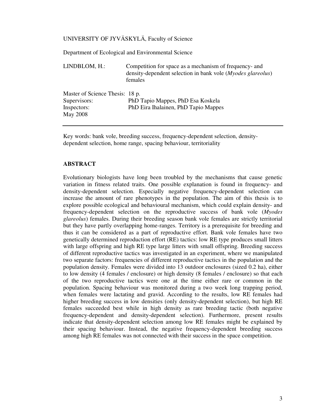# UNIVERSITY OF JYVÄSKYLÄ, Faculty of Science

Department of Ecological and Environmental Science

| LINDBLOM, H.:                   | Competition for space as a mechanism of frequency- and<br>density-dependent selection in bank vole ( <i>Myodes glareolus</i> )<br>females |  |  |  |  |  |  |
|---------------------------------|-------------------------------------------------------------------------------------------------------------------------------------------|--|--|--|--|--|--|
| Master of Science Thesis: 18 p. |                                                                                                                                           |  |  |  |  |  |  |
| Supervisors:                    | PhD Tapio Mappes, PhD Esa Koskela                                                                                                         |  |  |  |  |  |  |
| Inspectors:<br>May 2008         | PhD Eira Ihalainen, PhD Tapio Mappes                                                                                                      |  |  |  |  |  |  |

Key words: bank vole, breeding success, frequency-dependent selection, densitydependent selection, home range, spacing behaviour, territoriality

#### **ABSTRACT**

Evolutionary biologists have long been troubled by the mechanisms that cause genetic variation in fitness related traits. One possible explanation is found in frequency- and density-dependent selection. Especially negative frequency-dependent selection can increase the amount of rare phenotypes in the population. The aim of this thesis is to explore possible ecological and behavioural mechanism, which could explain density- and frequency-dependent selection on the reproductive success of bank vole (*Myodes glareolus*) females. During their breeding season bank vole females are strictly territorial but they have partly overlapping home-ranges. Territory is a prerequisite for breeding and thus it can be considered as a part of reproductive effort. Bank vole females have two genetically determined reproduction effort (RE) tactics: low RE type produces small litters with large offspring and high RE type large litters with small offspring. Breeding success of different reproductive tactics was investigated in an experiment, where we manipulated two separate factors: frequencies of different reproductive tactics in the population and the population density. Females were divided into 13 outdoor enclosures (sized 0.2 ha), either to low density (4 females / enclosure) or high density (8 females / enclosure) so that each of the two reproductive tactics were one at the time either rare or common in the population. Spacing behaviour was monitored during a two week long trapping period, when females were lactating and gravid. According to the results, low RE females had higher breeding success in low densities (only density-dependent selection), but high RE females succeeded best while in high density as rare breeding tactic (both negative frequency-dependent and density-dependent selection). Furthermore, present results indicate that density-dependent selection among low RE females might be explained by their spacing behaviour. Instead, the negative frequency-dependent breeding success among high RE females was not connected with their success in the space competition.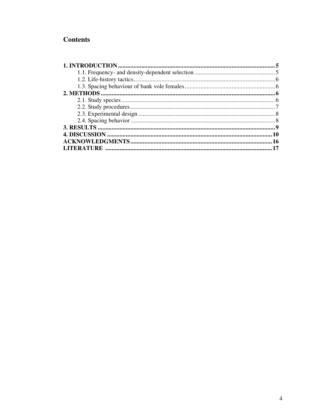# **Contents**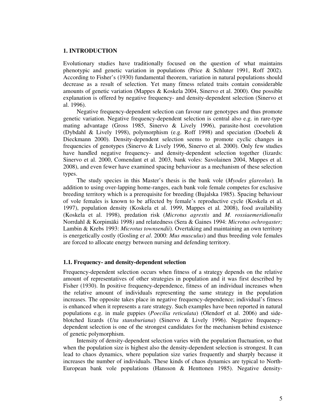## **1. INTRODUCTION**

Evolutionary studies have traditionally focused on the question of what maintains phenotypic and genetic variation in populations (Price & Schluter 1991, Roff 2002). According to Fisher's (1930) fundamental theorem, variation in natural populations should decrease as a result of selection. Yet many fitness related traits contain considerable amounts of genetic variation (Mappes & Koskela 2004, Sinervo et al. 2000). One possible explanation is offered by negative frequency- and density-dependent selection (Sinervo et al. 1996).

Negative frequency-dependent selection can favour rare genotypes and thus promote genetic variation. Negative frequency-dependent selection is central also e.g. in rare-type mating advantage (Gross 1985, Sinervo & Lively 1996), parasite-host coevolution (Dybdahl & Lively 1998), polymorphism (e.g. Roff 1998) and speciation (Doebeli & Dieckmann 2000). Density-dependent selection seems to promote cyclic changes in frequencies of genotypes (Sinervo & Lively 1996, Sinervo et al. 2000). Only few studies have handled negative frequency- and density-dependent selection together (lizards: Sinervo et al. 2000, Comendant et al. 2003, bank voles: Savolainen 2004, Mappes et al. 2008), and even fewer have examined spacing behaviour as a mechanism of these selection types.

The study species in this Master's thesis is the bank vole (*Myodes glareolus*). In addition to using over-lapping home-ranges, each bank vole female competes for exclusive breeding territory which is a prerequisite for breeding (Bujalska 1985). Spacing behaviour of vole females is known to be affected by female's reproductive cycle (Koskela et al. 1997), population density (Koskela et al. 1999, Mappes et al. 2008), food availability (Koskela et al. 1998), predation risk (*Microtus agrestis* and *M. rossiaemeridionalis* Norrdahl & Korpimäki 1998*)* and relatedness (Sera & Gaines 1994: *Microtus ochrogaster;* Lambin & Krebs 1993: *Microtus townsendii*). Overtaking and maintaining an own territory is energetically costly (Gosling e*t al*. 2000: *Mus musculus*) and thus breeding vole females are forced to allocate energy between nursing and defending territory.

# **1.1. Frequency- and density-dependent selection**

Frequency-dependent selection occurs when fitness of a strategy depends on the relative amount of representatives of other strategies in population and it was first described by Fisher (1930). In positive frequency-dependence, fitness of an individual increases when the relative amount of individuals representing the same strategy in the population increases. The opposite takes place in negative frequency-dependence; individual's fitness is enhanced when it represents a rare strategy. Such examples have been reported in natural populations e.g. in male guppies (*Poecilia reticulata*) (Olendorf et al. 2006) and sideblotched lizards (*Uta stansburiana*) (Sinervo & Lively 1996). Negative frequencydependent selection is one of the strongest candidates for the mechanism behind existence of genetic polymorphism.

Intensity of density-dependent selection varies with the population fluctuation, so that when the population size is highest also the density-dependent selection is strongest. It can lead to chaos dynamics, where population size varies frequently and sharply because it increases the number of individuals. These kinds of chaos dynamics are typical to North-European bank vole populations (Hansson & Henttonen 1985). Negative density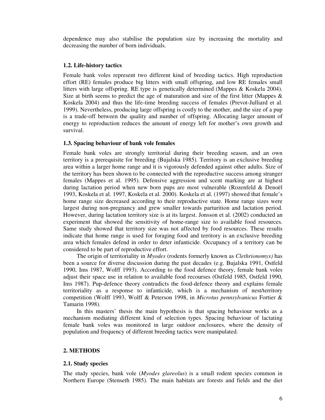dependence may also stabilise the population size by increasing the mortality and decreasing the number of born individuals.

# **1.2. Life-history tactics**

Female bank voles represent two different kind of breeding tactics. High reproduction effort (RE) females produce big litters with small offspring, and low RE females small litters with large offspring. RE type is genetically determined (Mappes & Koskela 2004). Size at birth seems to predict the age of maturation and size of the first litter (Mappes  $\&$ Koskela 2004) and thus the life-time breeding success of females (Prevot-Julliard et al. 1999). Nevertheless, producing large offspring is costly to the mother, and the size of a pup is a trade-off between the quality and number of offspring. Allocating larger amount of energy to reproduction reduces the amount of energy left for mother's own growth and survival.

# **1.3. Spacing behaviour of bank vole females**

Female bank voles are strongly territorial during their breeding season, and an own territory is a prerequisite for breeding (Bujalska 1985). Territory is an exclusive breeding area within a larger home range and it is vigorously defended against other adults. Size of the territory has been shown to be connected with the reproductive success among stranger females (Mappes et al. 1995). Defensive aggression and scent marking are at highest during lactation period when new born pups are most vulnerable (Rozenfeld & Denoël 1993, Koskela et al. 1997, Koskela et al. 2000). Koskela et al. (1997) showed that female's home range size decreased according to their reproductive state. Home range sizes were largest during non-pregnancy and grew smaller towards parturition and lactation period. However, during lactation territory size is at its largest. Jonsson et al. (2002) conducted an experiment that showed the sensitivity of home-range size to available food resources. Same study showed that territory size was not affected by food resources. These results indicate that home range is used for foraging food and territory is an exclusive breeding area which females defend in order to deter infanticide. Occupancy of a territory can be considered to be part of reproductive effort.

The origin of territoriality in *Myodes* (rodents formerly known as *Clethrionomys)* has been a source for diverse discussion during the past decades (e.g. Bujalska 1991, Ostfeld 1990, Ims 1987, Wolff 1993). According to the food defence theory, female bank voles adjust their space use in relation to available food recourses (Ostfeld 1985, Ostfeld 1990, Ims 1987). Pup-defence theory contradicts the food-defence theory and explains female territoriality as a response to infanticide, which is a mechanism of nest/territory competition (Wolff 1993, Wolff & Peterson 1998, in *Microtus pennsylvanicus* Fortier & Tamarin 1998).

In this masters' thesis the main hypothesis is that spacing behaviour works as a mechanism mediating different kind of selection types. Spacing behaviour of lactating female bank voles was monitored in large outdoor enclosures, where the density of population and frequency of different breeding tactics were manipulated.

# **2. METHODS**

#### **2.1. Study species**

The study species, bank vole (*Myodes glareolus*) is a small rodent species common in Northern Europe (Stenseth 1985). The main habitats are forests and fields and the diet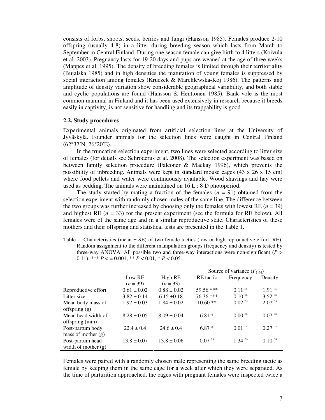consists of forbs, shoots, seeds, berries and fungi (Hansson 1985). Females produce 2-10 offspring (usually 4-8) in a litter during breeding season which lasts from March to September in Central Finland. During one season female can give birth to 4 litters (Koivula et al. 2003). Pregnancy lasts for 19-20 days and pups are weaned at the age of three weeks (Mappes et al. 1995). The density of breeding females is limited through their territoriality (Bujalska 1985) and in high densities the maturation of young females is suppressed by social interaction among females (Kruczek & Marchlewska-Koj 1986). The patterns and amplitude of density variation show considerable geographical variability, and both stable and cyclic populations are found (Hansson & Henttonen 1985). Bank vole is the most common mammal in Finland and it has been used extensively in research because it breeds easily in captivity, is not sensitive for handling and its trappability is good.

#### **2.2. Study procedures**

Experimental animals originated from artificial selection lines at the University of Jyväskylä. Founder animals for the selection lines were caught in Central Finland (62°37′N, 26°20′E).

In the truncation selection experiment, two lines were selected according to litter size of females (for details see Schroderus et al. 2008). The selection experiment was based on between family selection procedure (Falconer & Mackay 1996), which prevents the possibility of inbreeding. Animals were kept in standard mouse cages (43 x 26 x 15 cm) where food pellets and water were continuously available. Wood shavings and hay were used as bedding. The animals were maintained on 16 L : 8 D photoperiod.

The study started by mating a fraction of the females  $(n = 91)$  obtained from the selection experiment with randomly chosen males of the same line. The difference between the two groups was further increased by choosing only the females with lowest RE  $(n = 39)$ and highest RE  $(n = 33)$  for the present experiment (see the formula for RE below). All females were of the same age and in a similar reproductive state. Characteristics of these mothers and their offspring and statistical tests are presented in the Table 1.

Table 1. Characteristics (mean  $\pm$  SE) of two female tactics (low or high reproductive effort, RE). Random assignment to the different manipulation groups (frequency and density) is tested by three-way ANOVA. All possible two and three-way interactions were non-significant (*P* > 0.11). \*\*\*  $P < 0.001$ , \*\*  $P < 0.01$ , \*  $P < 0.05$ .

|                       |                 |                 |                    | Source of variance $(F_{1,64})$ |                      |
|-----------------------|-----------------|-----------------|--------------------|---------------------------------|----------------------|
|                       | Low RE          | High RE         | RE tactic          | Frequency                       | Density              |
|                       | $(n = 39)$      | $(n = 33)$      |                    |                                 |                      |
| Reproductive effort   | $0.61 \pm 0.02$ | $0.88 \pm 0.02$ | 59.56 ***          | $0.11$ <sup>ns</sup>            | $1.91$ <sup>ns</sup> |
| Litter size           | $3.82 \pm 0.14$ | $6.15 \pm 0.18$ | $76.36***$         | $0.10$ <sup>ns</sup>            | $3.52$ <sup>ns</sup> |
| Mean body mass of     | $1.97 \pm 0.03$ | $1.84 \pm 0.02$ | $10.60**$          | $0.02$ <sup>ns</sup>            | $2.07$ <sup>ns</sup> |
| offspring $(g)$       |                 |                 |                    |                                 |                      |
| Mean head width of    | $8.28 \pm 0.05$ | $8.09 \pm 0.04$ | $6.81*$            | $0.00$ <sup>ns</sup>            | $0.07$ <sup>ns</sup> |
| offspring (mm)        |                 |                 |                    |                                 |                      |
| Post-partum body      | $22.4 \pm 0.4$  | $24.6 \pm 0.4$  | $6.87*$            | $0.01$ <sup>ns</sup>            | $0.27$ <sup>ns</sup> |
| mass of mother $(g)$  |                 |                 |                    |                                 |                      |
| Post-partum head      | $13.8 \pm 0.07$ | $13.8 \pm 0.06$ | 0.07 <sup>ns</sup> | $1.34$ <sup>ns</sup>            | $0.10$ <sup>ns</sup> |
| width of mother $(g)$ |                 |                 |                    |                                 |                      |

Females were paired with a randomly chosen male representing the same breeding tactic as female by keeping them in the same cage for a week after which they were separated. As the time of parturition approached, the cages with pregnant females were inspected twice a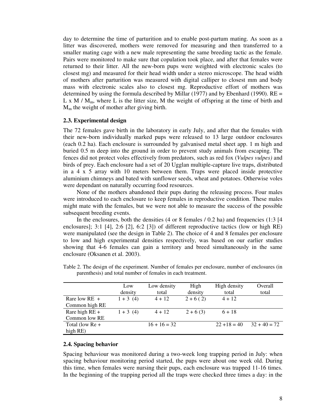day to determine the time of parturition and to enable post-partum mating. As soon as a litter was discovered, mothers were removed for measuring and then transferred to a smaller mating cage with a new male representing the same breeding tactic as the female. Pairs were monitored to make sure that copulation took place, and after that females were returned to their litter. All the new-born pups were weighted with electronic scales (to closest mg) and measured for their head width under a stereo microscope. The head width of mothers after parturition was measured with digital calliper to closest mm and body mass with electronic scales also to closest mg. Reproductive effort of mothers was determined by using the formula described by Millar (1977) and by Ebenhard (1990).  $RE =$ L x M /  $M_m$ , where L is the litter size, M the weight of offspring at the time of birth and  $M<sub>m</sub>$  the weight of mother after giving birth.

#### **2.3. Experimental design**

The 72 females gave birth in the laboratory in early July, and after that the females with their new-born individually marked pups were released to 13 large outdoor enclosures (each 0.2 ha). Each enclosure is surrounded by galvanised metal sheet app. 1 m high and buried 0.5 m deep into the ground in order to prevent study animals from escaping. The fences did not protect voles effectively from predators, such as red fox (*Vulpes vulpes)* and birds of prey. Each enclosure had a set of 20 Ugglan multiple-capture live traps, distributed in a 4 x 5 array with 10 meters between them. Traps were placed inside protective aluminium chimneys and bated with sunflower seeds, wheat and potatoes. Otherwise voles were dependant on naturally occurring food resources.

None of the mothers abandoned their pups during the releasing process. Four males were introduced to each enclosure to keep females in reproductive condition. These males might mate with the females, but we were not able to measure the success of the possible subsequent breeding events.

In the enclosures, both the densities (4 or 8 females / 0.2 ha) and frequencies (1:3 [4] enclosures]; 3:1 [4], 2:6 [2], 6:2 [3]) of different reproductive tactics (low or high RE) were manipulated (see the design in Table 2). The choice of 4 and 8 females per enclosure to low and high experimental densities respectively, was based on our earlier studies showing that 4-6 females can gain a territory and breed simultaneously in the same enclosure (Oksanen et al. 2003).

|                   | Low<br>density | Low density<br>total | High<br>density | High density<br>total | Overall<br>total |
|-------------------|----------------|----------------------|-----------------|-----------------------|------------------|
| Rare low $RE +$   | $1 + 3(4)$     | $4 + 12$             | $2+6(2)$        | $4 + 12$              |                  |
| Common high RE    |                |                      |                 |                       |                  |
| Rare high $RE +$  | $1 + 3(4)$     | $4 + 12$             | $2 + 6(3)$      | $6 + 18$              |                  |
| Common low RE     |                |                      |                 |                       |                  |
| Total (low $Re +$ |                | $16 + 16 = 32$       |                 | $22 + 18 = 40$        | $32 + 40 = 72$   |
| high RE)          |                |                      |                 |                       |                  |

Table 2. The design of the experiment. Number of females per enclosure, number of enclosures (in parenthesis) and total number of females in each treatment.

#### **2.4. Spacing behavior**

Spacing behaviour was monitored during a two-week long trapping period in July: when spacing behaviour monitoring period started, the pups were about one week old. During this time, when females were nursing their pups, each enclosure was trapped 11-16 times. In the beginning of the trapping period all the traps were checked three times a day: in the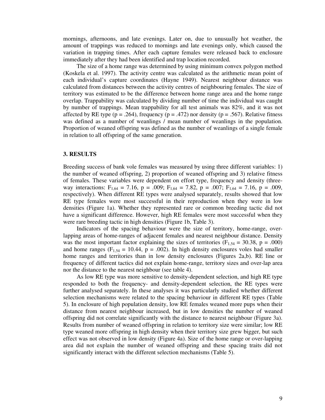mornings, afternoons, and late evenings. Later on, due to unusually hot weather, the amount of trappings was reduced to mornings and late evenings only, which caused the variation in trapping times. After each capture females were released back to enclosure immediately after they had been identified and trap location recorded.

The size of a home range was determined by using minimum convex polygon method (Koskela et al. 1997). The activity centre was calculated as the arithmetic mean point of each individual's capture coordinates (Hayne 1949). Nearest neighbour distance was calculated from distances between the activity centres of neighbouring females. The size of territory was estimated to be the difference between home range area and the home range overlap. Trappability was calculated by dividing number of time the individual was caught by number of trappings. Mean trappability for all test animals was 82%, and it was not affected by RE type ( $p = .264$ ), frequency ( $p = .472$ ) nor density ( $p = .567$ ). Relative fitness was defined as a number of weanlings / mean number of weanlings in the population. Proportion of weaned offspring was defined as the number of weanlings of a single female in relation to all offspring of the same generation.

#### **3. RESULTS**

Breeding success of bank vole females was measured by using three different variables: 1) the number of weaned offspring, 2) proportion of weaned offspring and 3) relative fitness of females. These variables were dependent on effort type, frequency and density (threeway interactions:  $F_{1,64} = 7.16$ ,  $p = .009$ ;  $F_{1,64} = 7.82$ ,  $p = .007$ ;  $F_{1,64} = 7.16$ ,  $p = .009$ , respectively). When different RE types were analysed separately, results showed that low RE type females were most successful in their reproduction when they were in low densities (Figure 1a). Whether they represented rare or common breeding tactic did not have a significant difference. However, high RE females were most successful when they were rare breeding tactic in high densities (Figure 1b, Table 3).

Indicators of the spacing behaviour were the size of territory, home-range, overlapping areas of home-ranges of adjacent females and nearest neighbour distance. Density was the most important factor explaining the sizes of territories ( $F_{1,54} = 30.38$ , p = .000) and home ranges ( $F_{1,54} = 10.44$ ,  $p = .002$ ). In high density enclosures voles had smaller home ranges and territories than in low density enclosures (Figures 2a,b). RE line or frequency of different tactics did not explain home-range, territory sizes and over-lap area nor the distance to the nearest neighbour (see table 4).

As low RE type was more sensitive to density-dependent selection, and high RE type responded to both the frequency- and density-dependent selection, the RE types were further analysed separately. In these analyses it was particularly studied whether different selection mechanisms were related to the spacing behaviour in different RE types (Table 5). In enclosure of high population density, low RE females weaned more pups when their distance from nearest neighbour increased, but in low densities the number of weaned offspring did not correlate significantly with the distance to nearest neighbour (Figure 3a). Results from number of weaned offspring in relation to territory size were similar; low RE type weaned more offspring in high density when their territory size grew bigger, but such effect was not observed in low density (Figure 4a). Size of the home range or over-lapping area did not explain the number of weaned offspring and these spacing traits did not significantly interact with the different selection mechanisms (Table 5).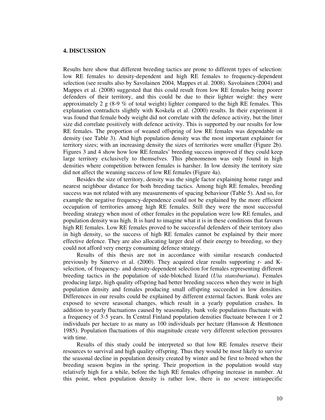## **4. DISCUSSION**

Results here show that different breeding tactics are prone to different types of selection: low RE females to density-dependent and high RE females to frequency-dependent selection (see results also by Savolainen 2004, Mappes et al. 2008). Savolainen (2004) and Mappes et al. (2008) suggested that this could result from low RE females being poorer defenders of their territory, and this could be due to their lighter weight: they were approximately 2  $g$  (8-9 % of total weight) lighter compared to the high RE females. This explanation contradicts slightly with Koskela et al. (2000) results. In their experiment it was found that female body weight did not correlate with the defence activity, but the litter size did correlate positively with defence activity. This is supported by our results for low RE females. The proportion of weaned offspring of low RE females was dependable on density (see Table 3). And high population density was the most important explainer for territory sizes; with an increasing density the sizes of territories were smaller (Figure 2b). Figures 3 and 4 show how low RE females' breeding success improved if they could keep large territory exclusively to themselves. This phenomenon was only found in high densities where competition between females is harsher. In low density the territory size did not affect the weaning success of low RE females (Figure 4a).

Besides the size of territory, density was the single factor explaining home range and nearest neighbour distance for both breeding tactics. Among high RE females, breeding success was not related with any measurements of spacing behaviour (Table 5). And so, for example the negative frequency-dependence could not be explained by the more efficient occupation of territories among high RE females. Still they were the most successful breeding strategy when most of other females in the population were low RE females, and population density was high. It is hard to imagine what it is in these conditions that favours high RE females. Low RE females proved to be successful defenders of their territory also in high density, so the success of high RE females cannot be explained by their more effective defence. They are also allocating larger deal of their energy to breeding, so they could not afford very energy consuming defence strategy.

Results of this thesis are not in accordance with similar research conducted previously by Sinervo et al. (2000). They acquired clear results supporting r- and Kselection, of frequency- and density-dependent selection for females representing different breeding tactics in the population of side-blotched lizard (*Uta stansburiana*). Females producing large, high quality offspring had better breeding success when they were in high population density and females producing small offspring succeeded in low densities. Differences in our results could be explained by different external factors. Bank voles are exposed to severe seasonal changes, which result in a yearly population crashes. In addition to yearly fluctuations caused by seasonality, bank vole populations fluctuate with a frequency of 3-5 years. In Central Finland population densities fluctuate between 1 or 2 individuals per hectare to as many as 100 individuals per hectare (Hansson & Henttonen 1985). Population fluctuations of this magnitude create very different selection pressures with time.

Results of this study could be interpreted so that low RE females reserve their resources to survival and high quality offspring. Thus they would be most likely to survive the seasonal decline in population density created by winter and be first to breed when the breeding season begins in the spring. Their proportion in the population would stay relatively high for a while, before the high RE females offspring increase in number. At this point, when population density is rather low, there is no severe intraspecific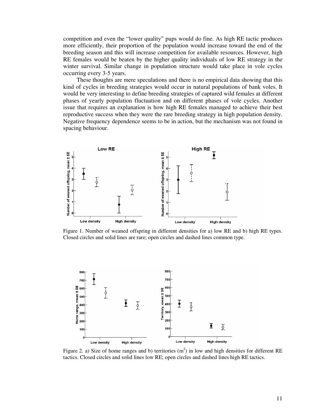competition and even the "lower quality" pups would do fine. As high RE tactic produces more efficiently, their proportion of the population would increase toward the end of the breeding season and this will increase competition for available resources. However, high RE females would be beaten by the higher quality individuals of low RE strategy in the winter survival. Similar change in population structure would take place in vole cycles occurring every 3-5 years.

These thoughts are mere speculations and there is no empirical data showing that this kind of cycles in breeding strategies would occur in natural populations of bank voles. It would be very interesting to define breeding strategies of captured wild females at different phases of yearly population fluctuation and on different phases of vole cycles. Another issue that requires an explanation is how high RE females managed to achieve their best reproductive success when they were the rare breeding strategy in high population density. Negative frequency dependence seems to be in action, but the mechanism was not found in spacing behaviour.



Figure 1. Number of weaned offspring in different densities for a) low RE and b) high RE types. Closed circles and solid lines are rare; open circles and dashed lines common type.



Figure 2. a) Size of home ranges and b) territories  $(m<sup>2</sup>)$  in low and high densities for different RE tactics. Closed circles and solid lines low RE; open circles and dashed lines high RE tactics.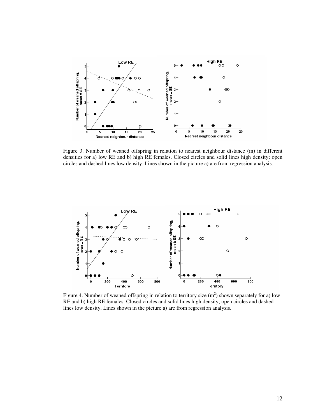

Figure 3. Number of weaned offspring in relation to nearest neighbour distance (m) in different densities for a) low RE and b) high RE females. Closed circles and solid lines high density; open circles and dashed lines low density. Lines shown in the picture a) are from regression analysis.



Figure 4. Number of weaned offspring in relation to territory size  $(m<sup>2</sup>)$  shown separately for a) low RE and b) high RE females. Closed circles and solid lines high density; open circles and dashed lines low density. Lines shown in the picture a) are from regression analysis.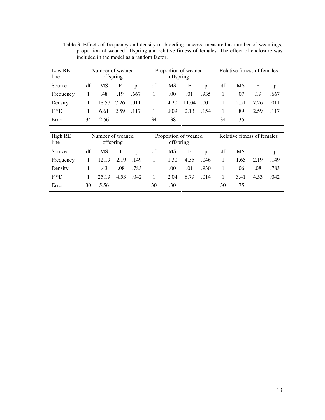Table 3. Effects of frequency and density on breeding success; measured as number of weanlings, proportion of weaned offspring and relative fitness of females. The effect of enclosure was included in the model as a random factor.

| Low RE<br>line  |                               | Number of weaned<br>offspring |              |      |                                   | Proportion of weaned<br>offspring |       |      | Relative fitness of females |      |      |      |
|-----------------|-------------------------------|-------------------------------|--------------|------|-----------------------------------|-----------------------------------|-------|------|-----------------------------|------|------|------|
| Source          | df                            | MS                            | F            | p    | df                                | MS                                | F     | p    | df                          | MS   | F    | p    |
| Frequency       | 1                             | .48                           | .19          | .667 | 1                                 | .00                               | .01   | .935 | 1                           | .07  | .19  | .667 |
| Density         | 1                             | 18.57                         | 7.26         | .011 | 1                                 | 4.20                              | 11.04 | .002 | 1                           | 2.51 | 7.26 | .011 |
| $F * D$         | 1                             | 6.61                          | 2.59         | .117 | 1                                 | .809                              | 2.13  | .154 | 1                           | .89  | 2.59 | .117 |
| Error           | 34                            | 2.56                          |              |      | 34                                | .38                               |       |      | 34                          | .35  |      |      |
|                 |                               |                               |              |      |                                   |                                   |       |      |                             |      |      |      |
| High RE<br>line | Number of weaned<br>offspring |                               |              |      | Proportion of weaned<br>offspring |                                   |       |      | Relative fitness of females |      |      |      |
| Source          | df                            | MS                            | $\mathbf{F}$ | p    | df                                | MS                                | F     | p    | df                          | MS   | F    | p    |
| Frequency       | 1                             | 12.19                         | 2.19         | .149 | 1                                 | 1.30                              | 4.35  | .046 | 1                           | 1.65 | 2.19 | .149 |
| Density         | 1                             | .43                           | .08          | .783 | 1                                 | .00                               | .01   | .930 | 1                           | .06  | .08  | .783 |
| $F * D$         | 1                             | 25.19                         | 4.53         | .042 | 1                                 | 2.04                              | 6.79  | .014 | 1                           | 3.41 | 4.53 | .042 |
| Error           | 30                            | 5.56                          |              |      |                                   |                                   |       |      | 30                          | .75  |      |      |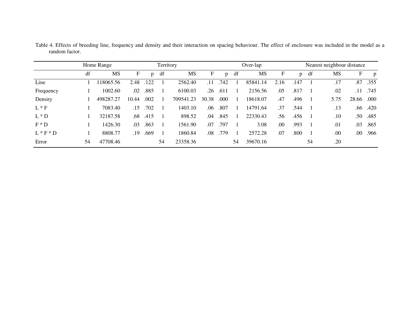|             | Home Range |           |       | Territory    |    |           |       | Over-lap |    |          |      |              | Nearest neighbour distance |      |         |          |
|-------------|------------|-----------|-------|--------------|----|-----------|-------|----------|----|----------|------|--------------|----------------------------|------|---------|----------|
|             | df         | MS        | F     | $\mathbf{p}$ | df | MS        | F     | p        | df | MS       | F    | $\mathbf{p}$ | df                         | MS   | F       | p        |
| Line        |            | 118065.56 | 2.48  | .122         |    | 2562.40   | .11   | .742     |    | 85841.14 | 2.16 | .147         |                            | .17  |         | .87 .355 |
| Frequency   |            | 1002.60   | .02   | .885         |    | 6100.03   | .26   | .611     |    | 2156.56  | .05  | .817         |                            | .02  | .11     | .745     |
| Density     |            | 498287.27 | 10.44 | .002         |    | 709541.23 | 30.38 | .000     | -1 | 18618.07 | .47  | .496         |                            | 5.75 | 28.66   | .000.    |
| $L * F$     |            | 7083.40   | .15   | .702         |    | 1403.10   | .06   | .807     |    | 14791.64 | .37  | .544         |                            | .13  | .66     | .420     |
| $L * D$     |            | 32187.58  | .68   | .415         |    | 898.52    | .04   | .845     |    | 22330.43 | .56  | .456         |                            | .10  | .50     | .485     |
| $F \ast D$  |            | 1426.30   | .03   | .863         |    | 1561.90   | .07   | .797     |    | 3.08     | .00  | .993         |                            | .01  | .03     | .865     |
| $L * F * D$ |            | 8808.77   | .19   | .669         |    | 1860.84   | .08   | .779     |    | 2572.28  | .07  | .800         |                            | .00  | $.00\,$ | .966     |
| Error       | 54         | 47708.46  |       |              | 54 | 23358.36  |       |          | 54 | 39670.16 |      |              | 54                         | .20  |         |          |

Table 4. Effects of breeding line, frequency and density and their interaction on spacing behaviour. The effect of enclosure was included in the model as <sup>a</sup> random factor.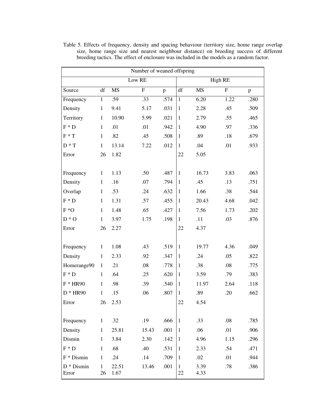| Number of weaned offspring     |                    |                        |                           |      |                    |                |           |      |  |
|--------------------------------|--------------------|------------------------|---------------------------|------|--------------------|----------------|-----------|------|--|
|                                |                    | Low RE                 |                           |      | High RE            |                |           |      |  |
| Source                         | df                 | $\overline{\text{MS}}$ | $\boldsymbol{\mathrm{F}}$ | p    | df                 | MS <sub></sub> | ${\bf F}$ | p    |  |
| Frequency                      | $\mathbf{1}$       | .59                    | .33                       | .574 | $\mathbf{1}$       | 6.20           | 1.22      | .280 |  |
| Density                        | $\mathbf{1}$       | 9.41                   | 5.17                      | .031 | $\mathbf{1}$       | 2.28           | .45       | .509 |  |
| Territory                      | $\mathbf{1}$       | 10.90                  | 5.99                      | .021 | $\mathbf{1}$       | 2.79           | .55       | .465 |  |
| $F * D$                        | $\mathbf{1}$       | .01                    | .01                       | .942 | $\mathbf{1}$       | 4.90           | .97       | .336 |  |
| $F * T$                        | $\mathbf{1}$       | .82                    | .45                       | .508 | $\mathbf{1}$       | .89            | .18       | .679 |  |
| $D * T$                        | $\mathbf{1}$       | 13.14                  | 7.22                      | .012 | $\mathbf{1}$       | .04            | .01       | .933 |  |
| Error                          | 26                 | 1.82                   |                           |      | 22                 | 5.05           |           |      |  |
|                                |                    |                        |                           |      |                    |                |           |      |  |
| Frequency                      | $\mathbf{1}$       | 1.13                   | .50                       | .487 | $\mathbf{1}$       | 16.73          | 3.83      | .063 |  |
| Density                        | $\mathbf{1}$       | .16                    | .07                       | .794 | $\mathbf{1}$       | .45            | .13       | .751 |  |
| Overlap                        | $\mathbf{1}$       | .53                    | .24                       | .632 | $\mathbf{1}$       | 1.66           | .38       | .544 |  |
| $F * D$                        | $\mathbf{1}$       | 1.31                   | .57                       | .455 | $\mathbf{1}$       | 20.43          | 4.68      | .042 |  |
| $F*O$                          | $\mathbf{1}$       | 1.48                   | .65                       | .427 | $\mathbf{1}$       | 7.56           | 1.73      | .202 |  |
| $D * O$                        | $\mathbf{1}$       | 3.97                   | 1.75                      | .198 | $\mathbf{1}$       | .11            | .03       | .876 |  |
| Error                          | 26                 | 2.27                   |                           |      | 22                 | 4.37           |           |      |  |
|                                |                    |                        |                           |      |                    |                |           |      |  |
| Frequency                      | $\mathbf{1}$       | 1.08                   | .43                       | .519 | $\mathbf{1}$       | 19.77          | 4.36      | .049 |  |
| Density                        | $\mathbf{1}$       | 2.33                   | .92                       | .347 | $\mathbf{1}$       | .24            | .05       | .822 |  |
| Homerange90                    | $\mathbf{1}$       | .21                    | .08                       | .778 | $\mathbf{1}$       | .38            | .08       | .775 |  |
| $F * D$                        | $\mathbf{1}$       | .64                    | .25                       | .620 | $\mathbf{1}$       | 3.59           | .79       | .383 |  |
| $F * HR90$                     | $\mathbf 1$        | .98                    | .39                       | .540 | $\mathbf{1}$       | 11.97          | 2.64      | .118 |  |
| $D * HR90$                     | $\mathbf{1}$       | .15                    | .06                       | .807 | $\mathbf{1}$       | .89            | .20       | .662 |  |
| Error                          | 26                 | 2.53                   |                           |      | 22                 | 4.54           |           |      |  |
|                                |                    |                        |                           |      |                    |                |           |      |  |
| Frequency                      | $\mathbf{1}$       | .32                    | .19                       | .666 | $\mathbf{1}$       | .33            | .08       | .785 |  |
| Density                        | $\mathbf{1}$       | 25.81                  | 15.43                     | .001 | $\mathbf{1}$       | .06            | .01       | .906 |  |
| Dismin                         | $\mathbf{1}$       | 3.84                   | 2.30                      | .142 | $\mathbf{1}$       | 4.96           | 1.15      | .296 |  |
| $F * D$                        | $\mathbf{1}$       | .68                    | .40                       | .531 | $\mathbf{1}$       | 2.33           | .54       | .471 |  |
| $F * Dismin$                   | $\mathbf{1}$       | .24                    | .14                       | .709 | 1                  | .02            | .01       | .944 |  |
| $\mathrm{D}$ * Dismin<br>Error | $\mathbf{1}$<br>26 | 22.51<br>1.67          | 13.46                     | .001 | $\mathbf{1}$<br>22 | 3.39<br>4.33   | .78       | .386 |  |

Table 5. Effects of frequency, density and spacing behaviour (territory size, home range overlap size, home range size and nearest neighbour distance) on breeding success of different breeding tactics. The effect of enclosure was included in the models as a random factor.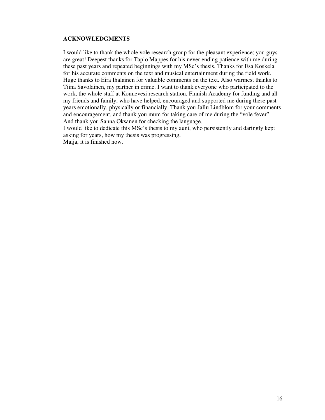# **ACKNOWLEDGMENTS**

I would like to thank the whole vole research group for the pleasant experience; you guys are great! Deepest thanks for Tapio Mappes for his never ending patience with me during these past years and repeated beginnings with my MSc's thesis. Thanks for Esa Koskela for his accurate comments on the text and musical entertainment during the field work. Huge thanks to Eira Ihalainen for valuable comments on the text. Also warmest thanks to Tiina Savolainen, my partner in crime. I want to thank everyone who participated to the work, the whole staff at Konnevesi research station, Finnish Academy for funding and all my friends and family, who have helped, encouraged and supported me during these past years emotionally, physically or financially. Thank you Jallu Lindblom for your comments and encouragement, and thank you mum for taking care of me during the "vole fever". And thank you Sanna Oksanen for checking the language.

I would like to dedicate this MSc's thesis to my aunt, who persistently and daringly kept asking for years, how my thesis was progressing.

Maija, it is finished now.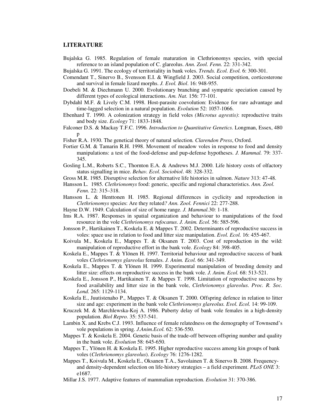#### **LITERATURE**

- Bujalska G. 1985. Regulation of female maturation in Clethrionomys species, with special reference to an island population of C. glareolus. *Ann. Zool. Fenn.* 22: 331-342.
- Bujalska G. 1991. The ecology of territoriality in bank voles. *Trends. Ecol. Evol.* 6: 300-301.
- Comendant T., Sinervo B., Svensson E.I. & Wingfield J. 2003. Social competition, corticosterone and survival in female lizard morphs. *J. Evol. Biol*. 16: 948-955.
- Doebeli M. & Diechmann U. 2000. Evolutionary branching and sympatric speciation caused by different types of ecological interactions. *Am. Nat.* 156: 77-101.
- Dybdahl M.F. & Lively C.M. 1998. Host-parasite coevolution: Evidence for rare advantage and time-lagged selection in a natural population. *Evolution* 52: 1057-1066.
- Ebenhard T. 1990. A colonization strategy in field voles *(Microtus agrestis)*: reproductive traits and body size. *Ecology* 71: 1833-1848.
- Falconer D.S. & Mackay T.F.C. 1996. *Introduction to Quantitative Genetics*. Longman, Essex, 480 p
- Fisher R.A. 1930. The genetical theory of natural selection*. Clarendon Press*, Oxford.
- Fortier G.M. & Tamarin R.H. 1998. Movement of meadow voles in response to food and density manipulations: a test of the food-defense and pup-defense hypotheses. *J. Mammal.* 79: 337- 345.
- Gosling L.M., Roberts S.C., Thornton E.A. & Andrews M.J. 2000. Life history costs of olfactory status signalling in mice. *Behav. Ecol. Sociobiol*. 48: 328-332.
- Gross M.R. 1985. Disruptive selection for alternative life histories in salmon. *Nature* 313: 47-48.
- Hansson L. 1985*. Clethrionomys* food: generic, specific and regional characteristics. *Ann. Zool. Fenn.* 22: 315–318.
- Hansson L. & Henttonen H. 1985. Regional differences in cyclicity and reproduction in *Clethrionomys* species: Are they related*? Ann. Zool. Fennici* 22: 277-288.
- Hayne D.W. 1949. Calculation of size of home range. *J. Mammal.*30: 1-18.
- Ims R.A. 1987. Responses in spatial organization and behaviour to manipulations of the food resource in the vole *Clethrionomys rufocanus*. *J. Anim. Ecol.* 56: 585-596.
- Jonsson P., Hartikainen T., Koskela E. & Mappes T. 2002. Determinants of reproductive success in voles: space use in relation to food and litter size manipulation. *Evol. Ecol.* 16: 455-467.
- Koivula M., Koskela E., Mappes T. & Oksanen T. 2003. Cost of reproduction in the wild: manipulation of reproductive effort in the bank vole. *Ecology* 84: 398-405.
- Koskela E., Mappes T. & Ylönen H. 1997. Territorial behaviour and reproductive success of bank voles *Clethrionomys glareolus* females. *J. Anim. Ecol.* 66: 341-349.
- Koskela E., Mappes T. & Ylönen H. 1999. Experimental manipulation of breeding density and litter size: effects on reproductive success in the bank vole. *J. Anim. Ecol.* 68: 513-521.
- Koskela E., Jonsson P., Hartikainen T. & Mappes T. 1998. Limitation of reproductive success by food availability and litter size in the bank vole, *Clethrionomys glareolus*. *Proc. R. Soc. Lond.* 265: 1129-1134.
- Koskela E., Juutistenaho P., Mappes T. & Oksanen T. 2000. Offspring defence in relation to litter size and age: experiment in the bank vole *Clethrionomys glareolus. Evol. Ecol.* 14: 99-109.
- Kruczek M. & Marchlewska-Koj A. 1986. Puberty delay of bank vole females in a high-density population. *Biol Repro.* 35: 537-541.
- Lambin X. and Krebs C.J. 1993. Influence of female relatedness on the demography of Townsend's vole populations in spring. *J.Anim.Ecol.* 62: 536-550.
- Mappes T. & Koskela E. 2004. Genetic basis of the trade-off between offspring number and quality in the bank vole. *Evolution* 58: 645-650.
- Mappes T., Ylönen H. & Koskela E. 1995. Higher reproductive success among kin groups of bank voles (*Clethrionomys glareolus*). *Ecology* 76: 1276-1282.
- Mappes T., Koivula M., Koskela E., Oksanen T.A., Savolainen T. & Sinervo B. 2008. Frequencyand density-dependent selection on life-history strategies – a field experiment. *PLoS ONE* 3: e1687.
- Millar J.S. 1977. Adaptive features of mammalian reproduction. *Evolution* 31: 370-386.